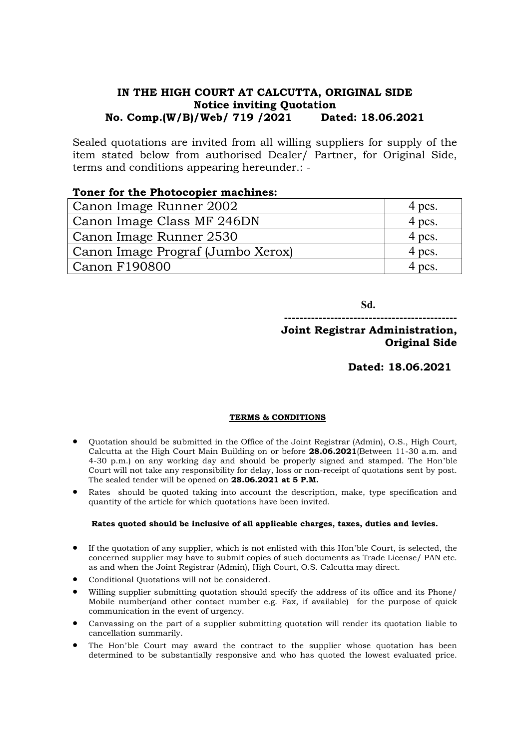# IN THE HIGH COURT AT CALCUTTA, ORIGINAL SIDE Notice inviting Quotation No. Comp.(W/B)/Web/ 719 /2021 Dated: 18.06.2021

Sealed quotations are invited from all willing suppliers for supply of the item stated below from authorised Dealer/ Partner, for Original Side, terms and conditions appearing hereunder.: -

### Toner for the Photocopier machines:

| 4 pcs. |
|--------|
| 4 pcs. |
| 4 pcs. |
| 4 pcs. |
| 4 pcs. |
|        |

Sd.

# ---------------------------------------------

## Joint Registrar Administration, Original Side

Dated: 18.06.2021

#### TERMS & CONDITIONS

- Quotation should be submitted in the Office of the Joint Registrar (Admin), O.S., High Court, Calcutta at the High Court Main Building on or before 28.06.2021(Between 11-30 a.m. and 4-30 p.m.) on any working day and should be properly signed and stamped. The Hon'ble Court will not take any responsibility for delay, loss or non-receipt of quotations sent by post. The sealed tender will be opened on 28.06.2021 at 5 P.M.
- Rates should be quoted taking into account the description, make, type specification and quantity of the article for which quotations have been invited.

#### Rates quoted should be inclusive of all applicable charges, taxes, duties and levies.

- If the quotation of any supplier, which is not enlisted with this Hon'ble Court, is selected, the concerned supplier may have to submit copies of such documents as Trade License/ PAN etc. as and when the Joint Registrar (Admin), High Court, O.S. Calcutta may direct.
- Conditional Quotations will not be considered.
- Willing supplier submitting quotation should specify the address of its office and its Phone/ Mobile number(and other contact number e.g. Fax, if available) for the purpose of quick communication in the event of urgency.
- Canvassing on the part of a supplier submitting quotation will render its quotation liable to cancellation summarily.
- The Hon'ble Court may award the contract to the supplier whose quotation has been determined to be substantially responsive and who has quoted the lowest evaluated price.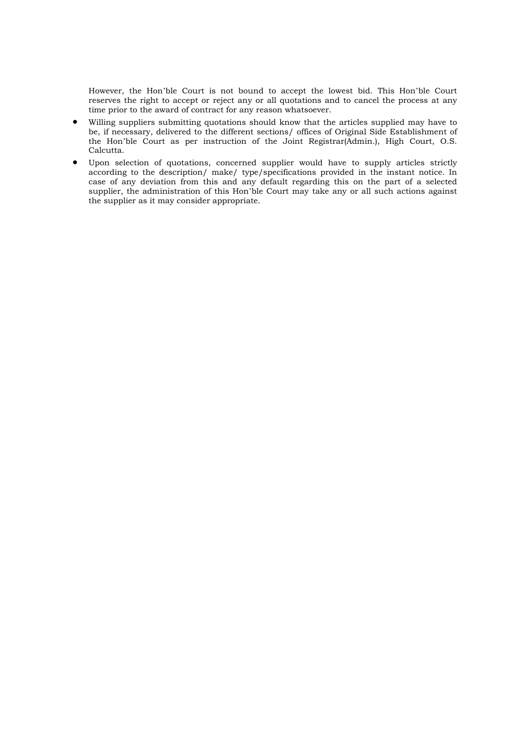However, the Hon'ble Court is not bound to accept the lowest bid. This Hon'ble Court reserves the right to accept or reject any or all quotations and to cancel the process at any time prior to the award of contract for any reason whatsoever.

- Willing suppliers submitting quotations should know that the articles supplied may have to be, if necessary, delivered to the different sections/ offices of Original Side Establishment of the Hon'ble Court as per instruction of the Joint Registrar(Admin.), High Court, O.S. Calcutta.
- Upon selection of quotations, concerned supplier would have to supply articles strictly according to the description/ make/ type/specifications provided in the instant notice. In case of any deviation from this and any default regarding this on the part of a selected supplier, the administration of this Hon'ble Court may take any or all such actions against the supplier as it may consider appropriate.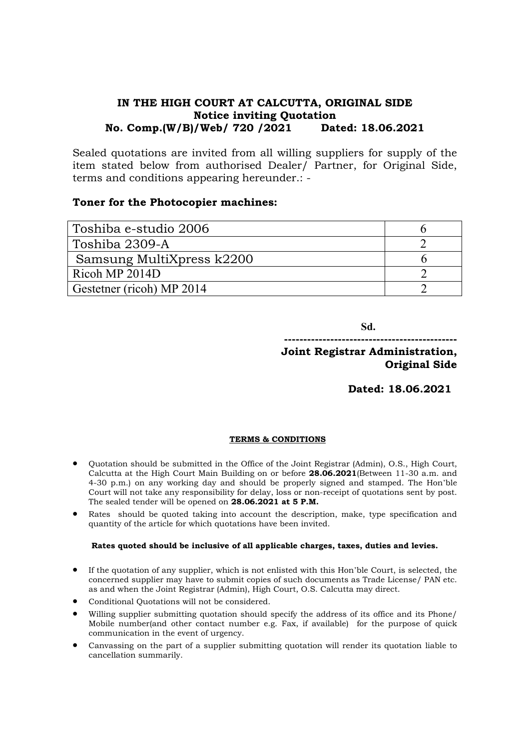# IN THE HIGH COURT AT CALCUTTA, ORIGINAL SIDE Notice inviting Quotation No. Comp.(W/B)/Web/ 720 /2021 Dated: 18.06.2021

Sealed quotations are invited from all willing suppliers for supply of the item stated below from authorised Dealer/ Partner, for Original Side, terms and conditions appearing hereunder.: -

## Toner for the Photocopier machines:

| Toshiba e-studio 2006     |  |
|---------------------------|--|
| Toshiba 2309-A            |  |
| Samsung MultiXpress k2200 |  |
| Ricoh MP 2014D            |  |
| Gestetner (ricoh) MP 2014 |  |

Sd.

---------------------------------------------

Joint Registrar Administration, Original Side

Dated: 18.06.2021

#### TERMS & CONDITIONS

- Quotation should be submitted in the Office of the Joint Registrar (Admin), O.S., High Court, Calcutta at the High Court Main Building on or before 28.06.2021(Between 11-30 a.m. and 4-30 p.m.) on any working day and should be properly signed and stamped. The Hon'ble Court will not take any responsibility for delay, loss or non-receipt of quotations sent by post. The sealed tender will be opened on 28.06.2021 at 5 P.M.
- Rates should be quoted taking into account the description, make, type specification and quantity of the article for which quotations have been invited.

#### Rates quoted should be inclusive of all applicable charges, taxes, duties and levies.

- If the quotation of any supplier, which is not enlisted with this Hon'ble Court, is selected, the concerned supplier may have to submit copies of such documents as Trade License/ PAN etc. as and when the Joint Registrar (Admin), High Court, O.S. Calcutta may direct.
- Conditional Quotations will not be considered.
- Willing supplier submitting quotation should specify the address of its office and its Phone/ Mobile number(and other contact number e.g. Fax, if available) for the purpose of quick communication in the event of urgency.
- Canvassing on the part of a supplier submitting quotation will render its quotation liable to cancellation summarily.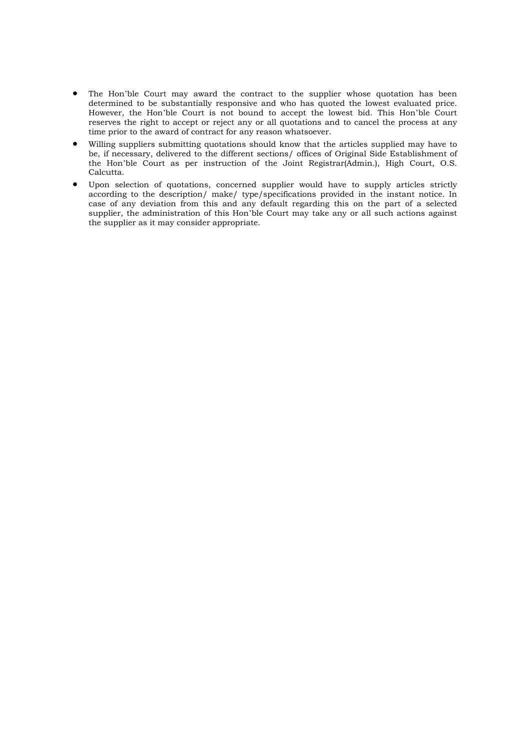- The Hon'ble Court may award the contract to the supplier whose quotation has been determined to be substantially responsive and who has quoted the lowest evaluated price. However, the Hon'ble Court is not bound to accept the lowest bid. This Hon'ble Court reserves the right to accept or reject any or all quotations and to cancel the process at any time prior to the award of contract for any reason whatsoever.
- Willing suppliers submitting quotations should know that the articles supplied may have to be, if necessary, delivered to the different sections/ offices of Original Side Establishment of the Hon'ble Court as per instruction of the Joint Registrar(Admin.), High Court, O.S. Calcutta.
- Upon selection of quotations, concerned supplier would have to supply articles strictly according to the description/ make/ type/specifications provided in the instant notice. In case of any deviation from this and any default regarding this on the part of a selected supplier, the administration of this Hon'ble Court may take any or all such actions against the supplier as it may consider appropriate.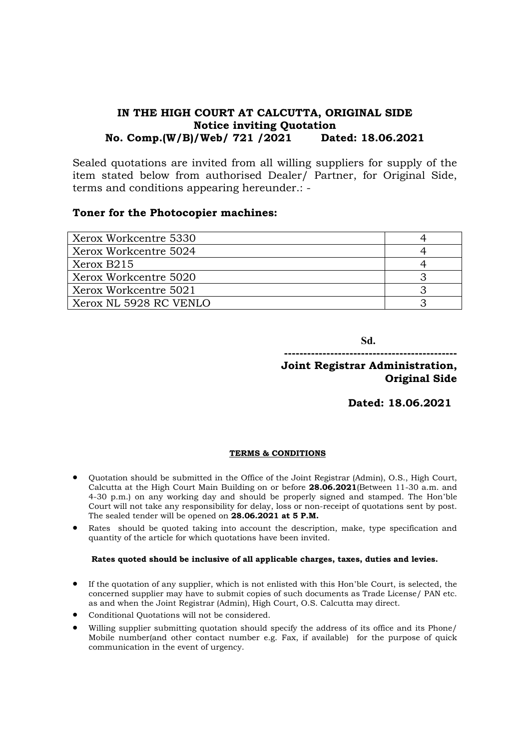# IN THE HIGH COURT AT CALCUTTA, ORIGINAL SIDE Notice inviting Quotation No. Comp.(W/B)/Web/ 721 /2021 Dated: 18.06.2021

Sealed quotations are invited from all willing suppliers for supply of the item stated below from authorised Dealer/ Partner, for Original Side, terms and conditions appearing hereunder.: -

## Toner for the Photocopier machines:

| Xerox Workcentre 5330  |  |
|------------------------|--|
| Xerox Workcentre 5024  |  |
| Xerox B215             |  |
| Xerox Workcentre 5020  |  |
| Xerox Workcentre 5021  |  |
| Xerox NL 5928 RC VENLO |  |

Sd.

# ---------------------------------------------

Joint Registrar Administration, Original Side

Dated: 18.06.2021

#### TERMS & CONDITIONS

- Quotation should be submitted in the Office of the Joint Registrar (Admin), O.S., High Court, Calcutta at the High Court Main Building on or before 28.06.2021(Between 11-30 a.m. and 4-30 p.m.) on any working day and should be properly signed and stamped. The Hon'ble Court will not take any responsibility for delay, loss or non-receipt of quotations sent by post. The sealed tender will be opened on 28.06.2021 at 5 P.M.
- Rates should be quoted taking into account the description, make, type specification and quantity of the article for which quotations have been invited.

#### Rates quoted should be inclusive of all applicable charges, taxes, duties and levies.

- If the quotation of any supplier, which is not enlisted with this Hon'ble Court, is selected, the concerned supplier may have to submit copies of such documents as Trade License/ PAN etc. as and when the Joint Registrar (Admin), High Court, O.S. Calcutta may direct.
- Conditional Quotations will not be considered.
- Willing supplier submitting quotation should specify the address of its office and its Phone/ Mobile number(and other contact number e.g. Fax, if available) for the purpose of quick communication in the event of urgency.